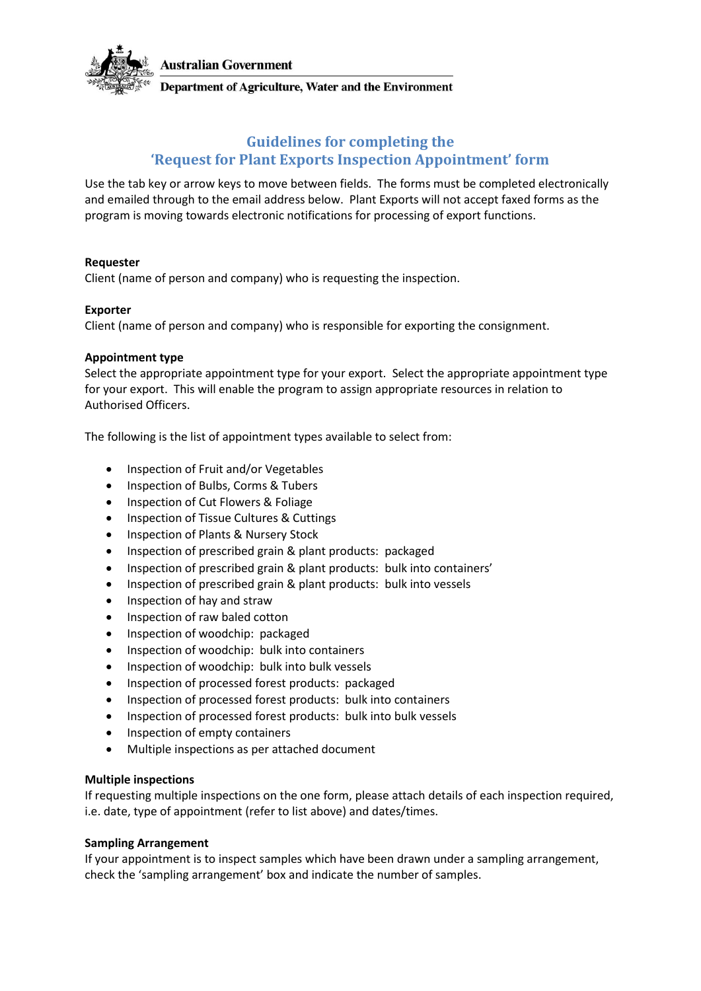

Department of Agriculture, Water and the Environment

# **Guidelines for completing the 'Request for Plant Exports Inspection Appointment' form**

Use the tab key or arrow keys to move between fields. The forms must be completed electronically and emailed through to the email address below. Plant Exports will not accept faxed forms as the program is moving towards electronic notifications for processing of export functions.

# **Requester**

Client (name of person and company) who is requesting the inspection.

# **Exporter**

Client (name of person and company) who is responsible for exporting the consignment.

# **Appointment type**

Select the appropriate appointment type for your export. Select the appropriate appointment type for your export. This will enable the program to assign appropriate resources in relation to Authorised Officers.

The following is the list of appointment types available to select from:

- Inspection of Fruit and/or Vegetables
- Inspection of Bulbs, Corms & Tubers
- Inspection of Cut Flowers & Foliage
- Inspection of Tissue Cultures & Cuttings
- Inspection of Plants & Nursery Stock
- Inspection of prescribed grain & plant products: packaged
- Inspection of prescribed grain & plant products: bulk into containers'
- Inspection of prescribed grain & plant products: bulk into vessels
- Inspection of hay and straw
- Inspection of raw baled cotton
- Inspection of woodchip: packaged
- Inspection of woodchip: bulk into containers
- Inspection of woodchip: bulk into bulk vessels
- Inspection of processed forest products: packaged
- Inspection of processed forest products: bulk into containers
- Inspection of processed forest products: bulk into bulk vessels
- Inspection of empty containers
- Multiple inspections as per attached document

# **Multiple inspections**

If requesting multiple inspections on the one form, please attach details of each inspection required, i.e. date, type of appointment (refer to list above) and dates/times.

# **Sampling Arrangement**

If your appointment is to inspect samples which have been drawn under a sampling arrangement, check the 'sampling arrangement' box and indicate the number of samples.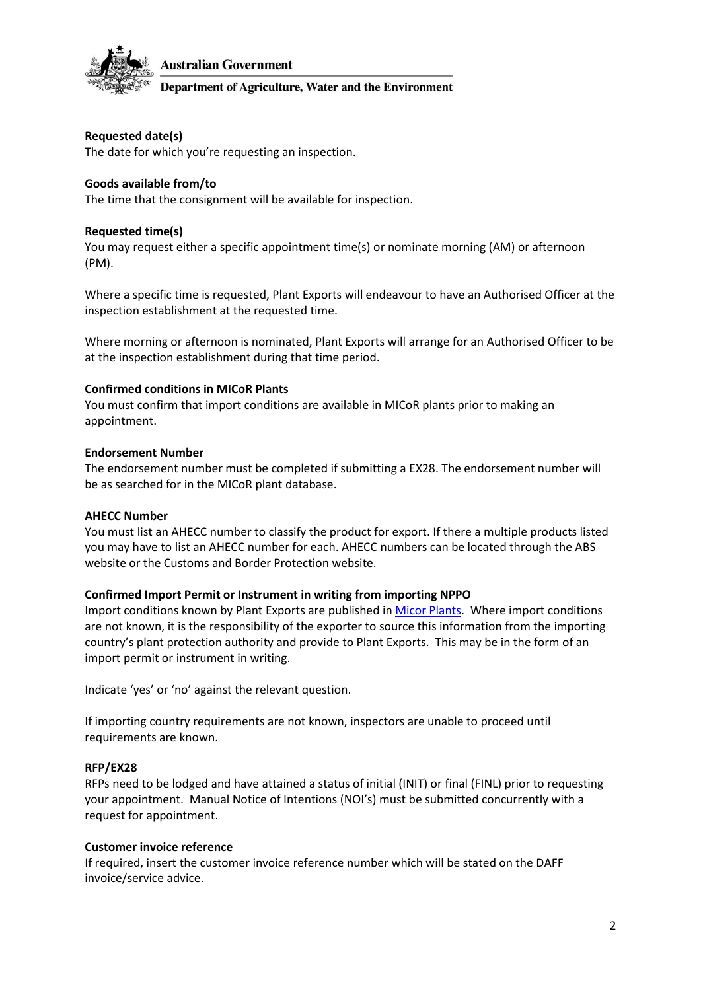

Department of Agriculture, Water and the Environment

# **Requested date(s)**

The date for which you're requesting an inspection.

### **Goods available from/to**

The time that the consignment will be available for inspection.

### **Requested time(s)**

You may request either a specific appointment time(s) or nominate morning (AM) or afternoon (PM).

Where a specific time is requested, Plant Exports will endeavour to have an Authorised Officer at the inspection establishment at the requested time.

Where morning or afternoon is nominated, Plant Exports will arrange for an Authorised Officer to be at the inspection establishment during that time period.

#### **Confirmed conditions in MICoR Plants**

You must confirm that import conditions are available in MICoR plants prior to making an appointment.

#### **Endorsement Number**

The endorsement number must be completed if submitting a EX28. The endorsement number will be as searched for in the MICoR plant database.

#### **AHECC Number**

You must list an AHECC number to classify the product for export. If there a multiple products listed you may have to list an AHECC number for each. AHECC numbers can be located through the ABS website or the Customs and Border Protection website.

#### **Confirmed Import Permit or Instrument in writing from importing NPPO**

Import conditions known by Plant Exports are published i[n Micor Plants.](https://micor.agriculture.gov.au/Plants/Pages/default.aspx) Where import conditions are not known, it is the responsibility of the exporter to source this information from the importing country's plant protection authority and provide to Plant Exports. This may be in the form of an import permit or instrument in writing.

Indicate 'yes' or 'no' against the relevant question.

If importing country requirements are not known, inspectors are unable to proceed until requirements are known.

#### **RFP/EX28**

RFPs need to be lodged and have attained a status of initial (INIT) or final (FINL) prior to requesting your appointment. Manual Notice of Intentions (NOI's) must be submitted concurrently with a request for appointment.

#### **Customer invoice reference**

If required, insert the customer invoice reference number which will be stated on the DAFF invoice/service advice.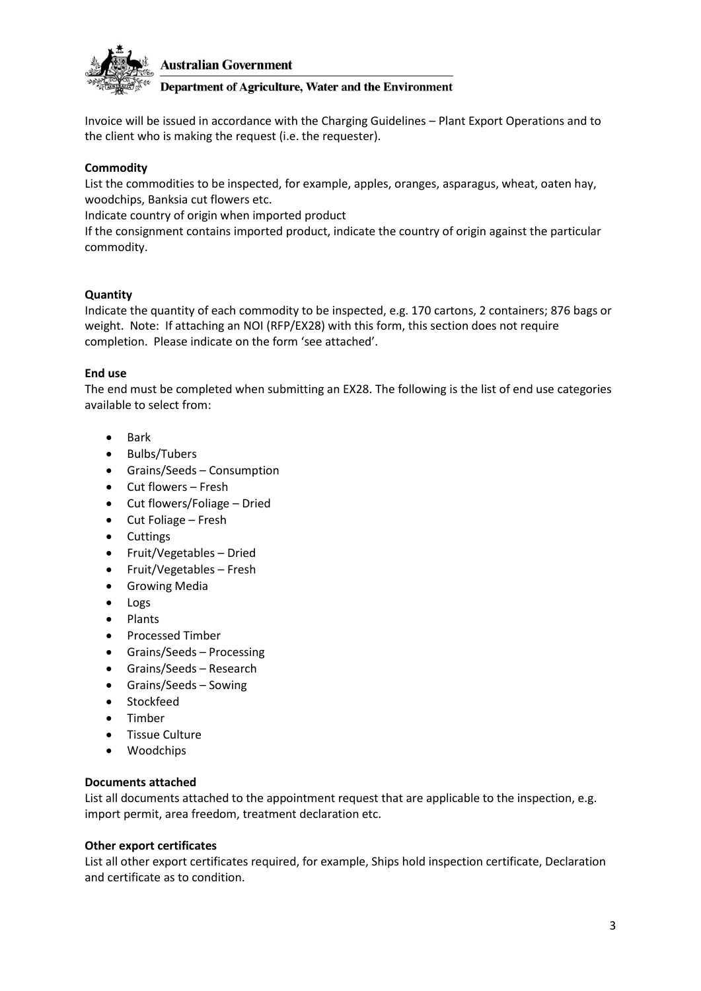

### Department of Agriculture, Water and the Environment

Invoice will be issued in accordance with the Charging Guidelines – Plant Export Operations and to the client who is making the request (i.e. the requester).

# **Commodity**

List the commodities to be inspected, for example, apples, oranges, asparagus, wheat, oaten hay, woodchips, Banksia cut flowers etc.

Indicate country of origin when imported product

If the consignment contains imported product, indicate the country of origin against the particular commodity.

### **Quantity**

Indicate the quantity of each commodity to be inspected, e.g. 170 cartons, 2 containers; 876 bags or weight. Note: If attaching an NOI (RFP/EX28) with this form, this section does not require completion. Please indicate on the form 'see attached'.

### **End use**

The end must be completed when submitting an EX28. The following is the list of end use categories available to select from:

- Bark
- Bulbs/Tubers
- Grains/Seeds Consumption
- Cut flowers Fresh
- Cut flowers/Foliage Dried
- Cut Foliage Fresh
- Cuttings
- Fruit/Vegetables Dried
- Fruit/Vegetables Fresh
- Growing Media
- Logs
- Plants
- Processed Timber
- Grains/Seeds Processing
- Grains/Seeds Research
- Grains/Seeds Sowing
- Stockfeed
- Timber
- Tissue Culture
- Woodchips

#### **Documents attached**

List all documents attached to the appointment request that are applicable to the inspection, e.g. import permit, area freedom, treatment declaration etc.

#### **Other export certificates**

List all other export certificates required, for example, Ships hold inspection certificate, Declaration and certificate as to condition.